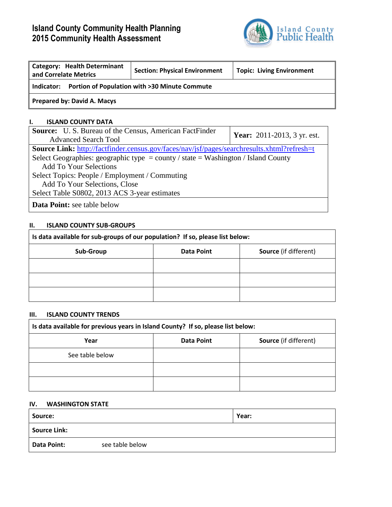# **Island County Community Health Planning 2015 Community Health Assessment**



| <b>Category: Health Determinant</b><br>and Correlate Metrics | <b>Section: Physical Environment</b> | <b>Topic: Living Environment</b> |  |  |  |  |  |
|--------------------------------------------------------------|--------------------------------------|----------------------------------|--|--|--|--|--|
| Portion of Population with >30 Minute Commute<br>Indicator:  |                                      |                                  |  |  |  |  |  |
| Prepared by: David A. Macys                                  |                                      |                                  |  |  |  |  |  |

### **I. ISLAND COUNTY DATA**

| <b>Source:</b> U.S. Bureau of the Census, American FactFinder                               | <b>Year:</b> 2011-2013, 3 yr. est. |
|---------------------------------------------------------------------------------------------|------------------------------------|
| <b>Advanced Search Tool</b>                                                                 |                                    |
| Source Link: http://factfinder.census.gov/faces/nav/jsf/pages/searchresults.xhtml?refresh=t |                                    |
| Select Geographies: geographic type = county / state = Washington / Island County           |                                    |
| <b>Add To Your Selections</b>                                                               |                                    |
| Select Topics: People / Employment / Commuting                                              |                                    |
| Add To Your Selections, Close                                                               |                                    |
| Select Table S0802, 2013 ACS 3-year estimates                                               |                                    |
| <b>Data Point:</b> see table below                                                          |                                    |

## **II. ISLAND COUNTY SUB-GROUPS**

| Is data available for sub-groups of our population? If so, please list below: |            |                              |  |  |  |  |
|-------------------------------------------------------------------------------|------------|------------------------------|--|--|--|--|
| Sub-Group                                                                     | Data Point | <b>Source</b> (if different) |  |  |  |  |
|                                                                               |            |                              |  |  |  |  |
|                                                                               |            |                              |  |  |  |  |
|                                                                               |            |                              |  |  |  |  |

#### **III. ISLAND COUNTY TRENDS**

| Is data available for previous years in Island County? If so, please list below: |            |                              |  |  |  |  |  |
|----------------------------------------------------------------------------------|------------|------------------------------|--|--|--|--|--|
| Year                                                                             | Data Point | <b>Source</b> (if different) |  |  |  |  |  |
| See table below                                                                  |            |                              |  |  |  |  |  |
|                                                                                  |            |                              |  |  |  |  |  |
|                                                                                  |            |                              |  |  |  |  |  |

#### **IV. WASHINGTON STATE**

| Source:             |                 | Year: |
|---------------------|-----------------|-------|
| <b>Source Link:</b> |                 |       |
| Data Point:         | see table below |       |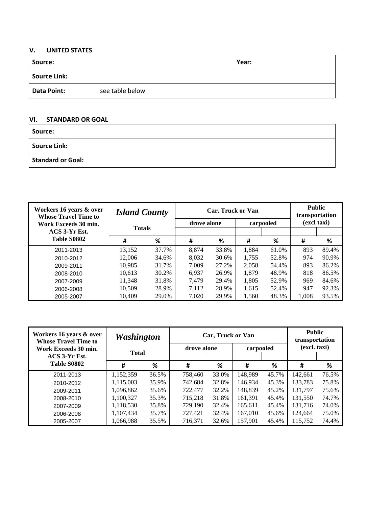# **V. UNITED STATES**

| Source:             |                 | Year: |
|---------------------|-----------------|-------|
| <b>Source Link:</b> |                 |       |
| Data Point:         | see table below |       |

# **VI. STANDARD OR GOAL**

| Source:                  |  |
|--------------------------|--|
| Source Link:             |  |
| <b>Standard or Goal:</b> |  |

| Workers 16 years & over<br><b>Whose Travel Time to</b> | <b>Island County</b> |       |             | Car, Truck or Van |       | <b>Public</b><br>transportation |             |       |
|--------------------------------------------------------|----------------------|-------|-------------|-------------------|-------|---------------------------------|-------------|-------|
| Work Exceeds 30 min.                                   | <b>Totals</b>        |       | drove alone |                   |       | carpooled                       | (excl taxi) |       |
| ACS 3-Yr Est.                                          |                      |       |             |                   |       |                                 |             |       |
| Table S0802                                            | #                    | %     | #           | %                 | #     | %                               | #           | %     |
| 2011-2013                                              | 13,152               | 37.7% | 8.874       | 33.8%             | 1,884 | 61.0%                           | 893         | 89.4% |
| 2010-2012                                              | 12,006               | 34.6% | 8,032       | 30.6%             | 1,755 | 52.8%                           | 974         | 90.9% |
| 2009-2011                                              | 10,985               | 31.7% | 7,009       | 27.2%             | 2,058 | 54.4%                           | 893         | 86.2% |
| 2008-2010                                              | 10,613               | 30.2% | 6,937       | 26.9%             | 1,879 | 48.9%                           | 818         | 86.5% |
| 2007-2009                                              | 11,348               | 31.8% | 7.479       | 29.4%             | 1,805 | 52.9%                           | 969         | 84.6% |
| 2006-2008                                              | 10,509               | 28.9% | 7,112       | 28.9%             | 1,615 | 52.4%                           | 947         | 92.3% |
| 2005-2007                                              | 10.409               | 29.0% | 7,020       | 29.9%             | 1,560 | 48.3%                           | 1,008       | 93.5% |

| Workers 16 years & over<br><b>Whose Travel Time to</b> | <b>Washington</b> |       |             | Car, Truck or Van |           | <b>Public</b><br>transportation |              |       |
|--------------------------------------------------------|-------------------|-------|-------------|-------------------|-----------|---------------------------------|--------------|-------|
| Work Exceeds 30 min.                                   | <b>Total</b>      |       | drove alone |                   | carpooled |                                 | (excl. taxi) |       |
| ACS 3-Yr Est.<br>Table S0802                           | #                 | %     | #           | %                 | #         | ℅                               | #            | %     |
| 2011-2013                                              | 1,152,359         | 36.5% | 758,460     | 33.0%             | 148,989   | 45.7%                           | 142,661      | 76.5% |
| 2010-2012                                              | 1,115,003         | 35.9% | 742,684     | 32.8%             | 146.934   | 45.3%                           | 133,783      | 75.8% |
| 2009-2011                                              | 1,096,862         | 35.6% | 722,477     | 32.2%             | 148,839   | 45.2%                           | 131,797      | 75.6% |
| 2008-2010                                              | 1,100,327         | 35.3% | 715,218     | 31.8%             | 161,391   | 45.4%                           | 131,550      | 74.7% |
| 2007-2009                                              | 1,118,530         | 35.8% | 729,190     | 32.4%             | 165,611   | 45.4%                           | 131,716      | 74.0% |
| 2006-2008                                              | 1,107,434         | 35.7% | 727,421     | 32.4%             | 167,010   | 45.6%                           | 124,664      | 75.0% |
| 2005-2007                                              | 1,066,988         | 35.5% | 716,371     | 32.6%             | 157,901   | 45.4%                           | 115,752      | 74.4% |